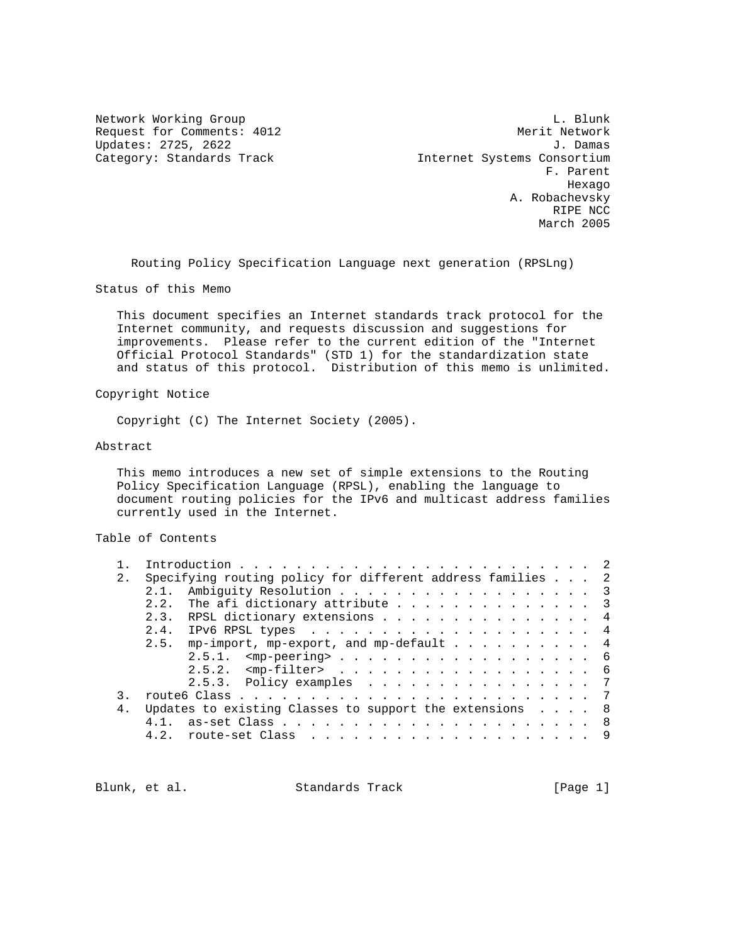Updates: 2725, 2622

Network Working Group and the contract of the contract of the contract of the contract of the contract of the contract of the contract of the contract of the contract of the contract of the contract of the contract of the Request for Comments: 4012 Merit Network Updates: 2725, 2622 J. Category: Standards Track and Internet Systems Consortium F. Parent hexago and the control of the control of the control of the control of the control of the control of the control of the control of the control of the control of the control of the control of the control of the control of t A. Robachevsky RIPE NCC March 2005

Routing Policy Specification Language next generation (RPSLng)

Status of this Memo

 This document specifies an Internet standards track protocol for the Internet community, and requests discussion and suggestions for improvements. Please refer to the current edition of the "Internet Official Protocol Standards" (STD 1) for the standardization state and status of this protocol. Distribution of this memo is unlimited.

# Copyright Notice

Copyright (C) The Internet Society (2005).

## Abstract

 This memo introduces a new set of simple extensions to the Routing Policy Specification Language (RPSL), enabling the language to document routing policies for the IPv6 and multicast address families currently used in the Internet.

# Table of Contents

| 2.             | Specifying routing policy for different address families 2 |  |
|----------------|------------------------------------------------------------|--|
|                | Ambiguity Resolution 3<br>2.1.                             |  |
|                | The afi dictionary attribute 3<br>2.2.                     |  |
|                | 2.3. RPSL dictionary extensions 4                          |  |
|                | 2.4.                                                       |  |
|                | 2.5.<br>mp-import, mp-export, and mp-default $\ldots$ 4    |  |
|                | $2.5.1.$ <mp-peering> 6</mp-peering>                       |  |
|                | $2.5.2.$ $\leq$ mp-filter> 6                               |  |
|                | 2.5.3. Policy examples 7                                   |  |
|                |                                                            |  |
| 4 <sub>1</sub> | Updates to existing Classes to support the extensions 8    |  |
|                |                                                            |  |
|                | 4.2.                                                       |  |
|                |                                                            |  |

Blunk, et al. Standards Track [Page 1]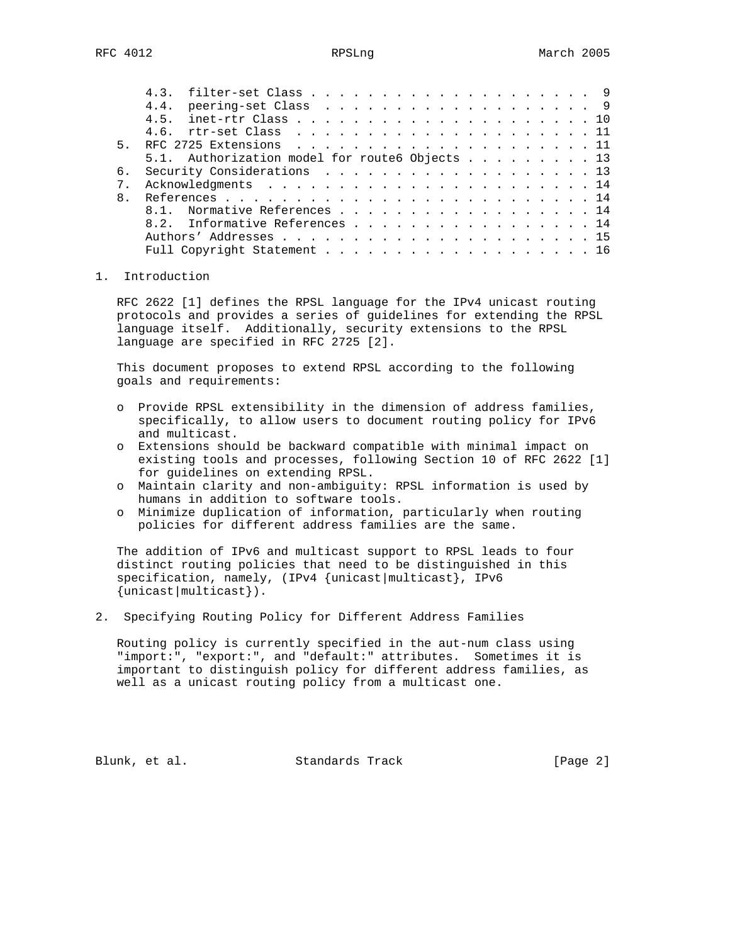|    | 5.1. Authorization model for route6 Objects 13 |
|----|------------------------------------------------|
| რ. | Security Considerations 13                     |
|    |                                                |
|    |                                                |
|    | 8.1. Normative References 14                   |
|    | 8.2. Informative References 14                 |
|    |                                                |
|    | Full Copyright Statement 16                    |
|    |                                                |

## 1. Introduction

 RFC 2622 [1] defines the RPSL language for the IPv4 unicast routing protocols and provides a series of guidelines for extending the RPSL language itself. Additionally, security extensions to the RPSL language are specified in RFC 2725 [2].

 This document proposes to extend RPSL according to the following goals and requirements:

- o Provide RPSL extensibility in the dimension of address families, specifically, to allow users to document routing policy for IPv6 and multicast.
- o Extensions should be backward compatible with minimal impact on existing tools and processes, following Section 10 of RFC 2622 [1] for guidelines on extending RPSL.
- o Maintain clarity and non-ambiguity: RPSL information is used by humans in addition to software tools.
- o Minimize duplication of information, particularly when routing policies for different address families are the same.

 The addition of IPv6 and multicast support to RPSL leads to four distinct routing policies that need to be distinguished in this specification, namely, (IPv4 {unicast|multicast}, IPv6 {unicast|multicast}).

2. Specifying Routing Policy for Different Address Families

 Routing policy is currently specified in the aut-num class using "import:", "export:", and "default:" attributes. Sometimes it is important to distinguish policy for different address families, as well as a unicast routing policy from a multicast one.

Blunk, et al. Standards Track [Page 2]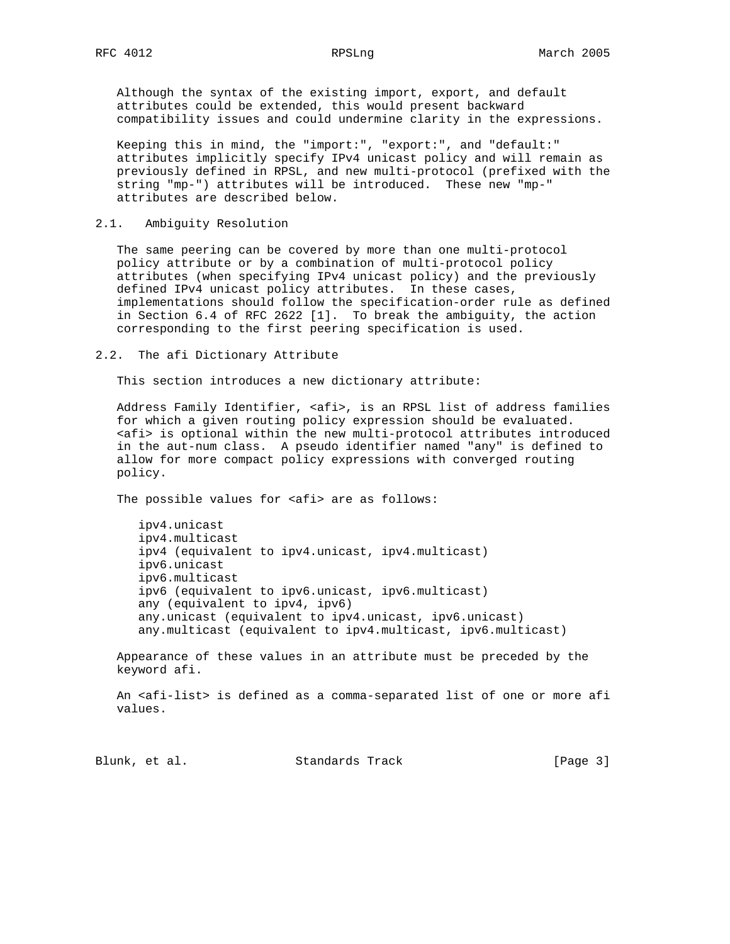Although the syntax of the existing import, export, and default attributes could be extended, this would present backward compatibility issues and could undermine clarity in the expressions.

 Keeping this in mind, the "import:", "export:", and "default:" attributes implicitly specify IPv4 unicast policy and will remain as previously defined in RPSL, and new multi-protocol (prefixed with the string "mp-") attributes will be introduced. These new "mp-" attributes are described below.

# 2.1. Ambiguity Resolution

 The same peering can be covered by more than one multi-protocol policy attribute or by a combination of multi-protocol policy attributes (when specifying IPv4 unicast policy) and the previously defined IPv4 unicast policy attributes. In these cases, implementations should follow the specification-order rule as defined in Section 6.4 of RFC 2622 [1]. To break the ambiguity, the action corresponding to the first peering specification is used.

### 2.2. The afi Dictionary Attribute

This section introduces a new dictionary attribute:

Address Family Identifier, <afi>, is an RPSL list of address families for which a given routing policy expression should be evaluated. <afi> is optional within the new multi-protocol attributes introduced in the aut-num class. A pseudo identifier named "any" is defined to allow for more compact policy expressions with converged routing policy.

The possible values for <afi> are as follows:

 ipv4.unicast ipv4.multicast ipv4 (equivalent to ipv4.unicast, ipv4.multicast) ipv6.unicast ipv6.multicast ipv6 (equivalent to ipv6.unicast, ipv6.multicast) any (equivalent to ipv4, ipv6) any.unicast (equivalent to ipv4.unicast, ipv6.unicast) any.multicast (equivalent to ipv4.multicast, ipv6.multicast)

 Appearance of these values in an attribute must be preceded by the keyword afi.

 An <afi-list> is defined as a comma-separated list of one or more afi values.

Blunk, et al. Standards Track [Page 3]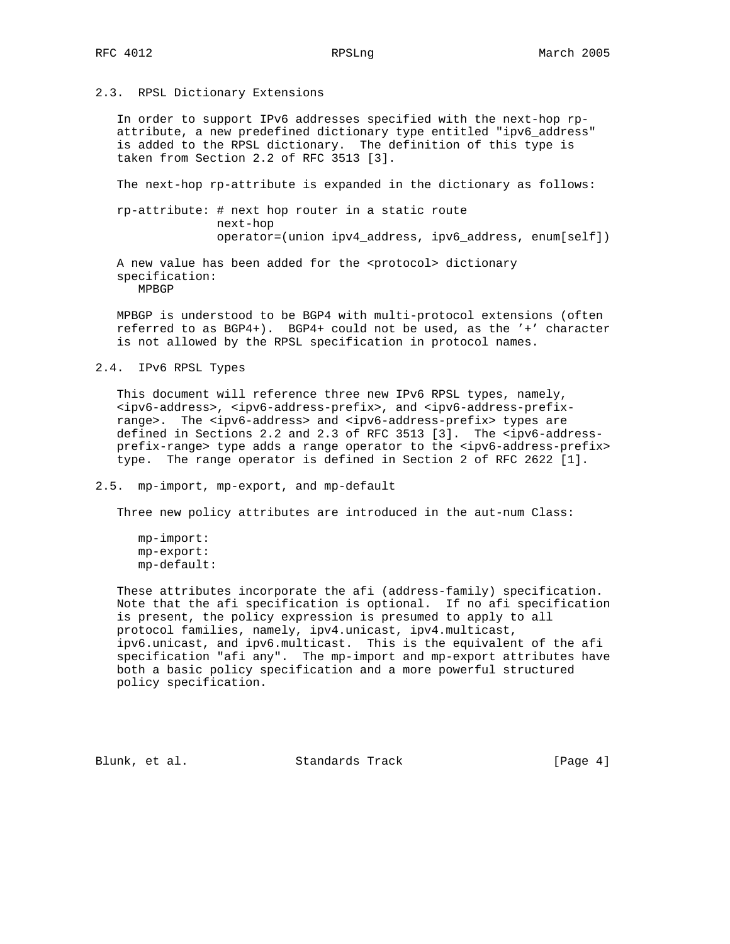# 2.3. RPSL Dictionary Extensions

 In order to support IPv6 addresses specified with the next-hop rp attribute, a new predefined dictionary type entitled "ipv6\_address" is added to the RPSL dictionary. The definition of this type is taken from Section 2.2 of RFC 3513 [3].

The next-hop rp-attribute is expanded in the dictionary as follows:

 rp-attribute: # next hop router in a static route next-hop operator=(union ipv4\_address, ipv6\_address, enum[self])

 A new value has been added for the <protocol> dictionary specification: MPBGP

 MPBGP is understood to be BGP4 with multi-protocol extensions (often referred to as BGP4+). BGP4+ could not be used, as the '+' character is not allowed by the RPSL specification in protocol names.

## 2.4. IPv6 RPSL Types

 This document will reference three new IPv6 RPSL types, namely, <ipv6-address>, <ipv6-address-prefix>, and <ipv6-address-prefix range>. The <ipv6-address> and <ipv6-address-prefix> types are defined in Sections 2.2 and 2.3 of RFC 3513 [3]. The <ipv6-address prefix-range> type adds a range operator to the <ipv6-address-prefix> type. The range operator is defined in Section 2 of RFC 2622 [1].

# 2.5. mp-import, mp-export, and mp-default

Three new policy attributes are introduced in the aut-num Class:

 These attributes incorporate the afi (address-family) specification. Note that the afi specification is optional. If no afi specification is present, the policy expression is presumed to apply to all protocol families, namely, ipv4.unicast, ipv4.multicast, ipv6.unicast, and ipv6.multicast. This is the equivalent of the afi specification "afi any". The mp-import and mp-export attributes have both a basic policy specification and a more powerful structured policy specification.

Blunk, et al. Standards Track [Page 4]

mp-import: mp-export: mp-default: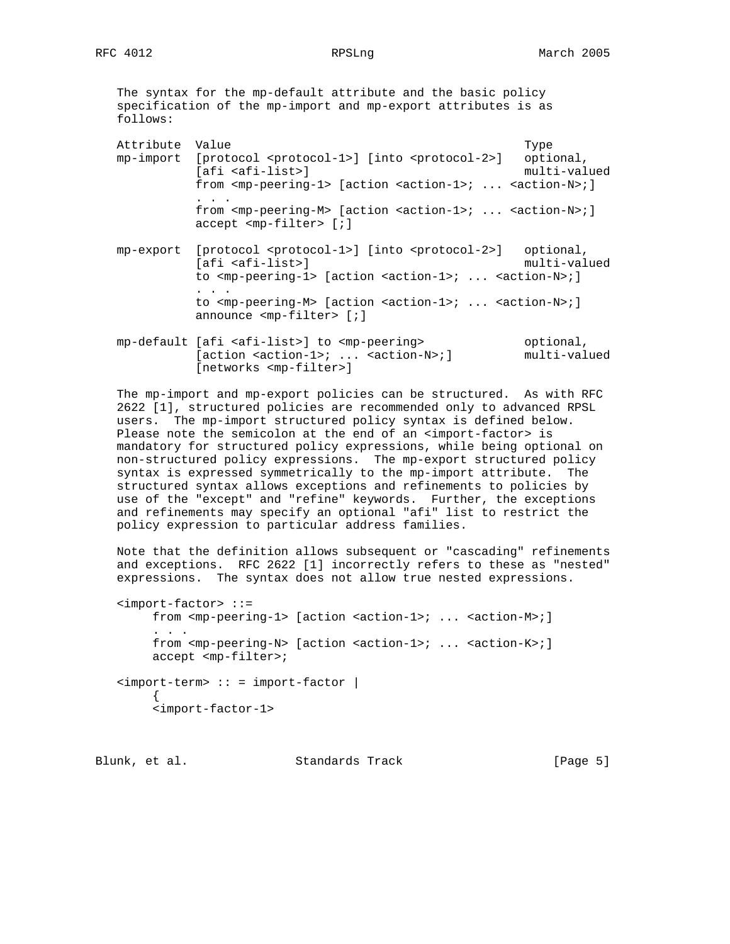The syntax for the mp-default attribute and the basic policy specification of the mp-import and mp-export attributes is as follows:

| optional,                                                                            |
|--------------------------------------------------------------------------------------|
| multi-valued                                                                         |
| from $\text{emp-perinq-1} >$ [action $\text{calcion-1} > i$ $\text{calcion-N} > i$ ] |
|                                                                                      |
|                                                                                      |
| from $\text{emp-reering-M>}$ [action $\text{calcion-1}>i$ $\text{calcion-N}>i$ ]     |

- mp-export [protocol <protocol-1>] [into <protocol-2>] optional, [afi <afi-list>] multi-valued to <mp-peering-1> [action <action-1>; ... <action-N>; ] . . . to <mp-peering-M> [action <action-1>; ... <action-N>; ] announce <mp-filter> [;]
- mp-default [afi <afi-list>] to <mp-peering> optional, [action <action-1>; ... <action-N>;] multi-valued [networks <mp-filter>]

 The mp-import and mp-export policies can be structured. As with RFC 2622 [1], structured policies are recommended only to advanced RPSL users. The mp-import structured policy syntax is defined below. Please note the semicolon at the end of an <import-factor> is mandatory for structured policy expressions, while being optional on non-structured policy expressions. The mp-export structured policy syntax is expressed symmetrically to the mp-import attribute. The structured syntax allows exceptions and refinements to policies by use of the "except" and "refine" keywords. Further, the exceptions and refinements may specify an optional "afi" list to restrict the policy expression to particular address families.

 Note that the definition allows subsequent or "cascading" refinements and exceptions. RFC 2622 [1] incorrectly refers to these as "nested" expressions. The syntax does not allow true nested expressions.

```
 <import-factor> ::=
          from <mp-peering-1> [action <action-1>; ... <action-M>;]
          . . .
          from <mp-peering-N> [action <action-1>; ... <action-K>;]
          accept <mp-filter>;
    <import-term> :: = import-factor |
\left\{ \begin{array}{c} \end{array} \right. <import-factor-1>
```
Blunk, et al. Standards Track [Page 5]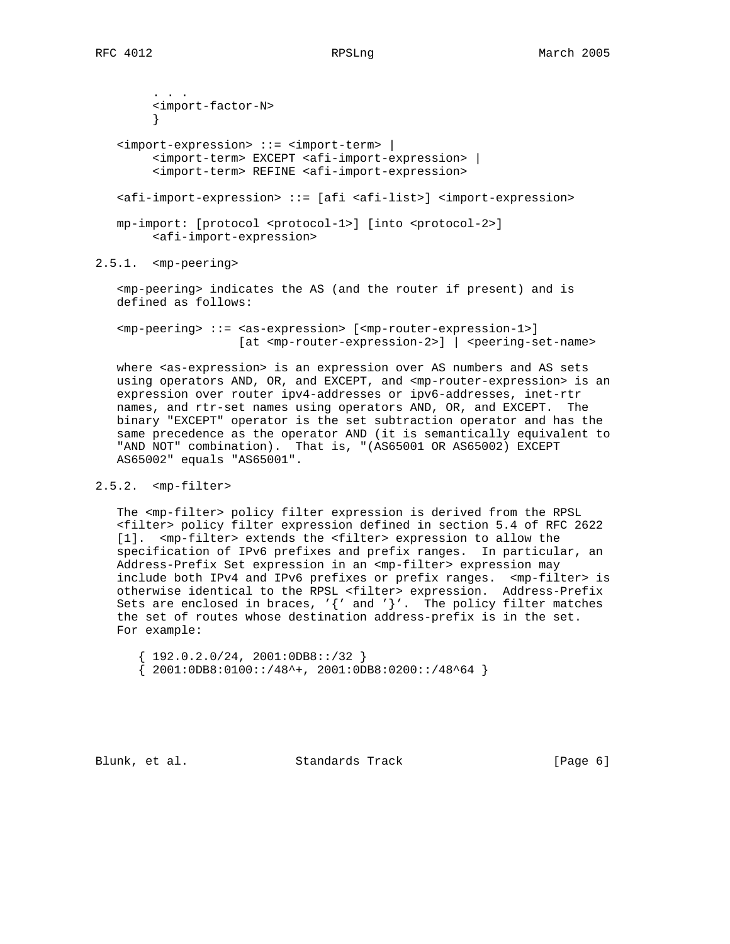. . . <import-factor-N> } <import-expression> ::= <import-term> | <import-term> EXCEPT <afi-import-expression> | <import-term> REFINE <afi-import-expression> <afi-import-expression> ::= [afi <afi-list>] <import-expression> mp-import: [protocol <protocol-1>] [into <protocol-2>] <afi-import-expression>

2.5.1. <mp-peering>

 <mp-peering> indicates the AS (and the router if present) and is defined as follows:

 <mp-peering> ::= <as-expression> [<mp-router-expression-1>] [at <mp-router-expression-2>] | <peering-set-name>

 where <as-expression> is an expression over AS numbers and AS sets using operators AND, OR, and EXCEPT, and <mp-router-expression> is an expression over router ipv4-addresses or ipv6-addresses, inet-rtr names, and rtr-set names using operators AND, OR, and EXCEPT. The binary "EXCEPT" operator is the set subtraction operator and has the same precedence as the operator AND (it is semantically equivalent to "AND NOT" combination). That is, "(AS65001 OR AS65002) EXCEPT AS65002" equals "AS65001".

## 2.5.2. <mp-filter>

 The <mp-filter> policy filter expression is derived from the RPSL <filter> policy filter expression defined in section 5.4 of RFC 2622 [1]. <mp-filter> extends the <filter> expression to allow the specification of IPv6 prefixes and prefix ranges. In particular, an Address-Prefix Set expression in an <mp-filter> expression may include both IPv4 and IPv6 prefixes or prefix ranges. <mp-filter> is otherwise identical to the RPSL <filter> expression. Address-Prefix Sets are enclosed in braces,  $'\{'$  and  $'\}'$ . The policy filter matches the set of routes whose destination address-prefix is in the set. For example:

 ${192.0.2.0/24, 2001:0DB8::/32}$  ${2001:0DB8:0100::/48^+$ , 2001:0DB8:0200::/48^64 }

Blunk, et al. Standards Track [Page 6]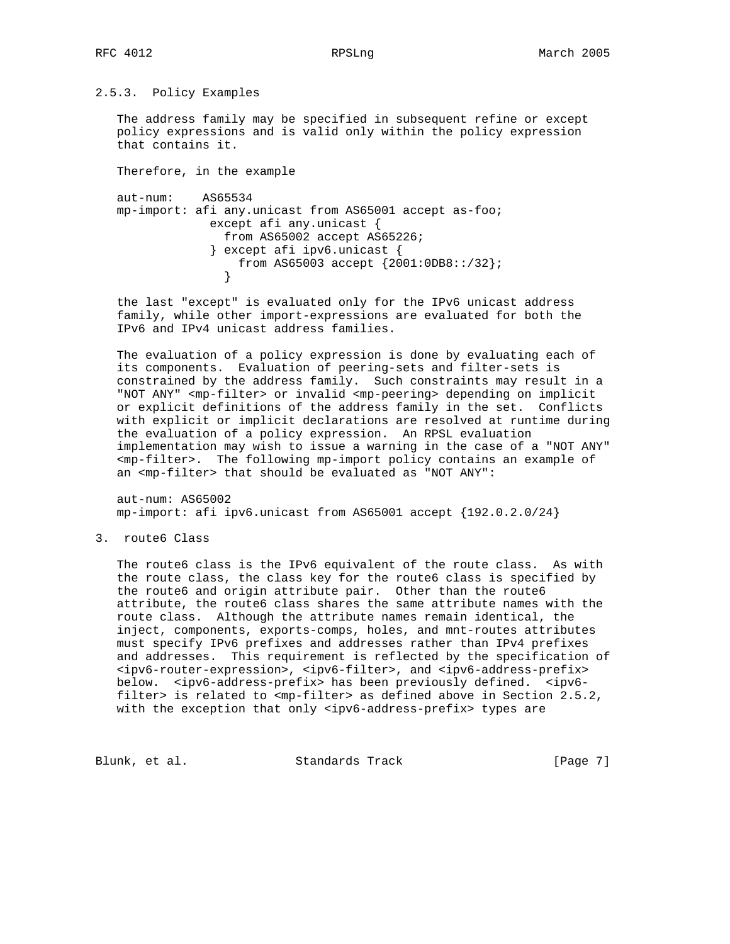# 2.5.3. Policy Examples

 The address family may be specified in subsequent refine or except policy expressions and is valid only within the policy expression that contains it.

Therefore, in the example

 aut-num: AS65534 mp-import: afi any.unicast from AS65001 accept as-foo; except afi any.unicast { from AS65002 accept AS65226; } except afi ipv6.unicast { from AS65003 accept  ${2001:0DB8::/32};$ }

 the last "except" is evaluated only for the IPv6 unicast address family, while other import-expressions are evaluated for both the IPv6 and IPv4 unicast address families.

 The evaluation of a policy expression is done by evaluating each of its components. Evaluation of peering-sets and filter-sets is constrained by the address family. Such constraints may result in a "NOT ANY" <mp-filter> or invalid <mp-peering> depending on implicit or explicit definitions of the address family in the set. Conflicts with explicit or implicit declarations are resolved at runtime during the evaluation of a policy expression. An RPSL evaluation implementation may wish to issue a warning in the case of a "NOT ANY" <mp-filter>. The following mp-import policy contains an example of an <mp-filter> that should be evaluated as "NOT ANY":

 aut-num: AS65002 mp-import: afi ipv6.unicast from AS65001 accept {192.0.2.0/24}

3. route6 Class

 The route6 class is the IPv6 equivalent of the route class. As with the route class, the class key for the route6 class is specified by the route6 and origin attribute pair. Other than the route6 attribute, the route6 class shares the same attribute names with the route class. Although the attribute names remain identical, the inject, components, exports-comps, holes, and mnt-routes attributes must specify IPv6 prefixes and addresses rather than IPv4 prefixes and addresses. This requirement is reflected by the specification of <ipv6-router-expression>, <ipv6-filter>, and <ipv6-address-prefix> below. <ipv6-address-prefix> has been previously defined. <ipv6 filter> is related to <mp-filter> as defined above in Section 2.5.2, with the exception that only <ipv6-address-prefix> types are

Blunk, et al. Standards Track [Page 7]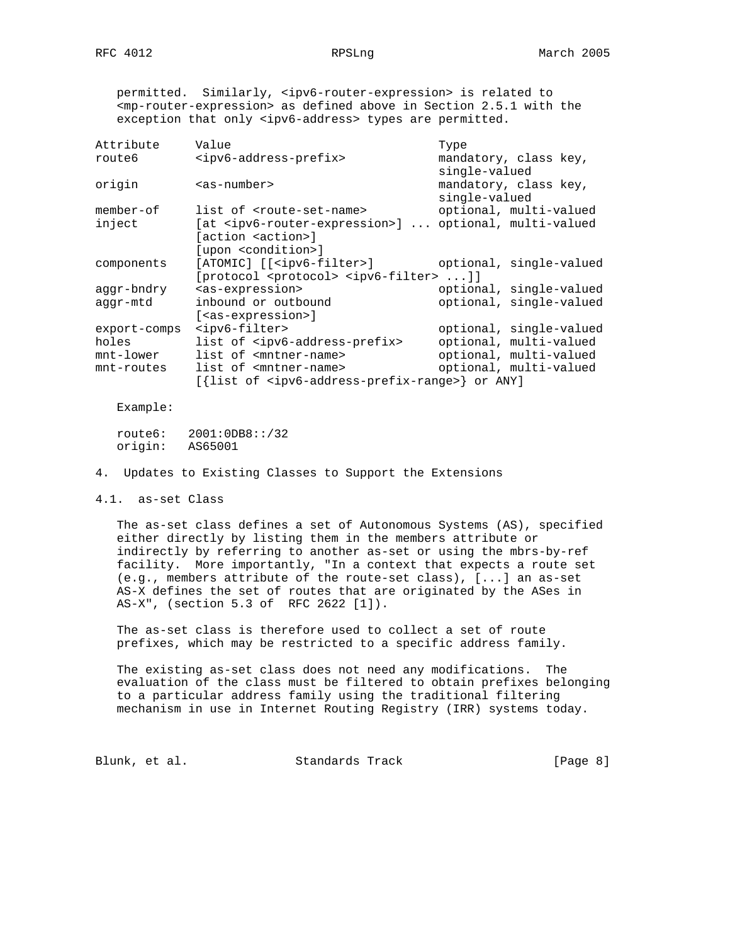permitted. Similarly, <ipv6-router-expression> is related to <mp-router-expression> as defined above in Section 2.5.1 with the exception that only <ipv6-address> types are permitted.

| Attribute    | Value                                                                          | Type                    |
|--------------|--------------------------------------------------------------------------------|-------------------------|
| route6       | <ipv6-address-prefix></ipv6-address-prefix>                                    | mandatory, class key,   |
|              |                                                                                | single-valued           |
| origin       | $as-number$                                                                    | mandatory, class key,   |
|              |                                                                                | single-valued           |
| $member-of$  | list of <route-set-name></route-set-name>                                      | optional, multi-valued  |
| inject       | [at <ipv6-router-expression>]  optional, multi-valued</ipv6-router-expression> |                         |
|              | [action <action>]</action>                                                     |                         |
|              | [upon <condition>]</condition>                                                 |                         |
| components   | [ATOMIC] [[ <ipv6-filter>]</ipv6-filter>                                       | optional, single-valued |
|              | [protocol <protocol> <ipv6-filter> ]]</ipv6-filter></protocol>                 |                         |
| aqqr-bndry   | <as-expression></as-expression>                                                | optional, single-valued |
| aqqr-mtd     | inbound or outbound                                                            | optional, single-valued |
|              | [ <as-expression>]</as-expression>                                             |                         |
| export-comps | <ipv6-filter></ipv6-filter>                                                    | optional, single-valued |
| holes        | list of <ipv6-address-prefix></ipv6-address-prefix>                            | optional, multi-valued  |
| mnt-lower    | list of <mntner-name></mntner-name>                                            | optional, multi-valued  |
| mnt-routes   | list of <mntner-name></mntner-name>                                            | optional, multi-valued  |
|              | [{list of <ipv6-address-prefix-range>} or ANY]</ipv6-address-prefix-range>     |                         |
|              |                                                                                |                         |

Example:

 route6: 2001:0DB8::/32 origin: AS65001

4. Updates to Existing Classes to Support the Extensions

4.1. as-set Class

 The as-set class defines a set of Autonomous Systems (AS), specified either directly by listing them in the members attribute or indirectly by referring to another as-set or using the mbrs-by-ref facility. More importantly, "In a context that expects a route set (e.g., members attribute of the route-set class), [...] an as-set AS-X defines the set of routes that are originated by the ASes in AS-X", (section 5.3 of RFC 2622 [1]).

 The as-set class is therefore used to collect a set of route prefixes, which may be restricted to a specific address family.

 The existing as-set class does not need any modifications. The evaluation of the class must be filtered to obtain prefixes belonging to a particular address family using the traditional filtering mechanism in use in Internet Routing Registry (IRR) systems today.

Blunk, et al. Standards Track [Page 8]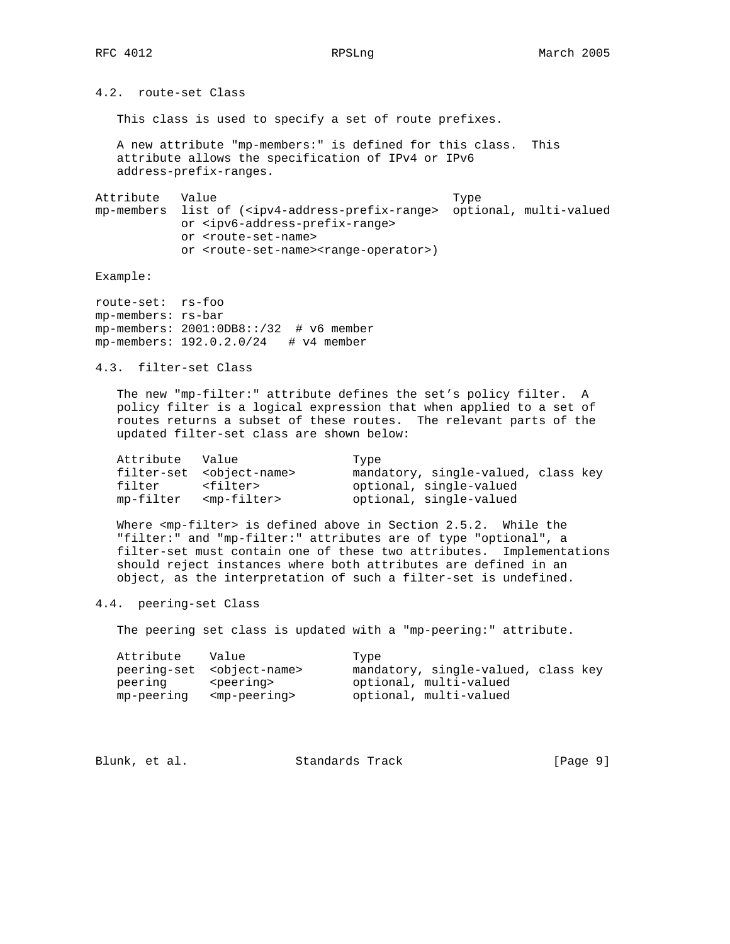4.2. route-set Class

This class is used to specify a set of route prefixes.

 A new attribute "mp-members:" is defined for this class. This attribute allows the specification of IPv4 or IPv6 address-prefix-ranges.

Attribute Value Type mp-members list of (<ipv4-address-prefix-range> optional, multi-valued or <ipv6-address-prefix-range> or <route-set-name> or <route-set-name><range-operator>)

Example:

route-set: rs-foo mp-members: rs-bar mp-members: 2001:0DB8::/32 # v6 member mp-members: 192.0.2.0/24 # v4 member

4.3. filter-set Class

 The new "mp-filter:" attribute defines the set's policy filter. A policy filter is a logical expression that when applied to a set of routes returns a subset of these routes. The relevant parts of the updated filter-set class are shown below:

| Attribute Value |                                        | Type                                |
|-----------------|----------------------------------------|-------------------------------------|
|                 | filter-set <object-name></object-name> | mandatory, single-valued, class key |
| filter          | <filter></filter>                      | optional, single-valued             |
|                 | mp-filter <mp-filter></mp-filter>      | optional, single-valued             |

Where <mp-filter> is defined above in Section 2.5.2. While the "filter:" and "mp-filter:" attributes are of type "optional", a filter-set must contain one of these two attributes. Implementations should reject instances where both attributes are defined in an object, as the interpretation of such a filter-set is undefined.

4.4. peering-set Class

The peering set class is updated with a "mp-peering:" attribute.

| Attribute Value |                                         | Type                                |
|-----------------|-----------------------------------------|-------------------------------------|
|                 | peering-set <object-name></object-name> | mandatory, single-valued, class key |
| peering         | <peering></peering>                     | optional, multi-valued              |
| mp-peering      | <mp-peering></mp-peering>               | optional, multi-valued              |

| Blunk, et al.<br>Standards Track | [Page 9] |
|----------------------------------|----------|
|----------------------------------|----------|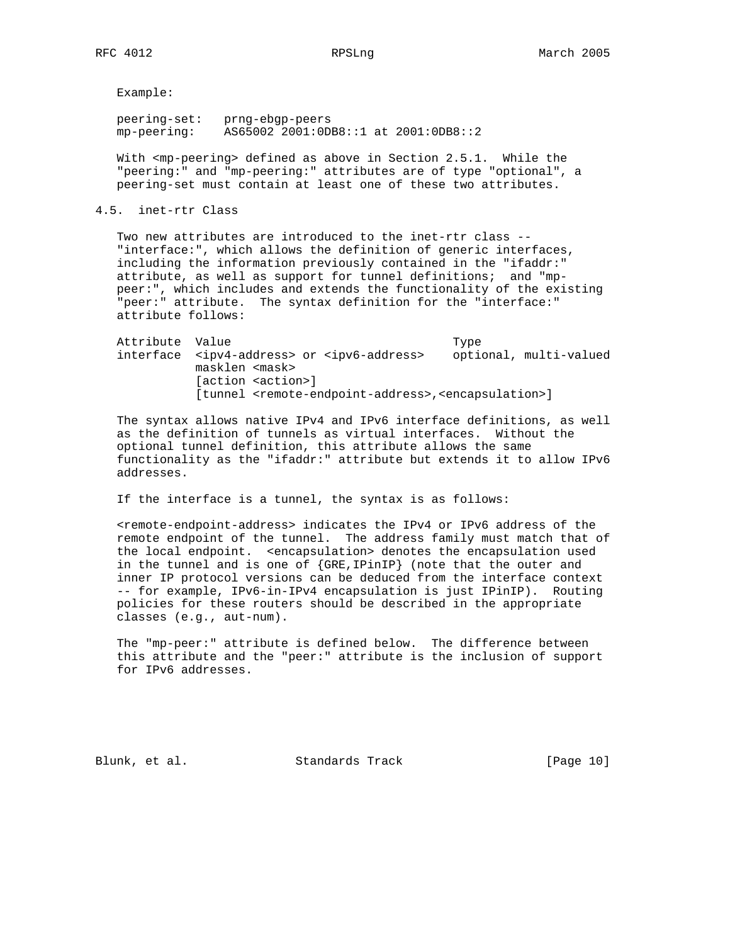Example:

 peering-set: prng-ebgp-peers mp-peering: AS65002 2001:0DB8::1 at 2001:0DB8::2

With <mp-peering> defined as above in Section 2.5.1. While the "peering:" and "mp-peering:" attributes are of type "optional", a peering-set must contain at least one of these two attributes.

4.5. inet-rtr Class

 Two new attributes are introduced to the inet-rtr class -- "interface:", which allows the definition of generic interfaces, including the information previously contained in the "ifaddr:" attribute, as well as support for tunnel definitions; and "mp peer:", which includes and extends the functionality of the existing "peer:" attribute. The syntax definition for the "interface:" attribute follows:

Attribute Value **Type**  interface <ipv4-address> or <ipv6-address> optional, multi-valued masklen <mask> [action <action>] [tunnel <remote-endpoint-address>,<encapsulation>]

 The syntax allows native IPv4 and IPv6 interface definitions, as well as the definition of tunnels as virtual interfaces. Without the optional tunnel definition, this attribute allows the same functionality as the "ifaddr:" attribute but extends it to allow IPv6 addresses.

If the interface is a tunnel, the syntax is as follows:

 <remote-endpoint-address> indicates the IPv4 or IPv6 address of the remote endpoint of the tunnel. The address family must match that of the local endpoint. <encapsulation> denotes the encapsulation used in the tunnel and is one of {GRE,IPinIP} (note that the outer and inner IP protocol versions can be deduced from the interface context -- for example, IPv6-in-IPv4 encapsulation is just IPinIP). Routing policies for these routers should be described in the appropriate classes (e.g., aut-num).

 The "mp-peer:" attribute is defined below. The difference between this attribute and the "peer:" attribute is the inclusion of support for IPv6 addresses.

Blunk, et al. Standards Track [Page 10]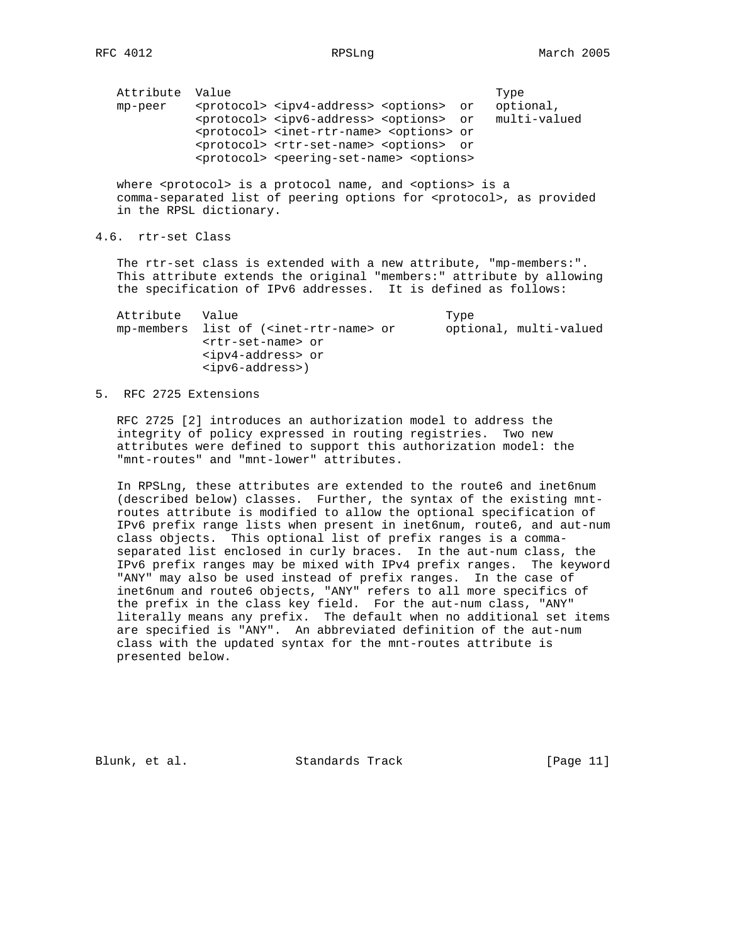Attribute Value **Type**  mp-peer <protocol> <ipv4-address> <options> or optional, <protocol> <ipv6-address> <options> or multi-valued <protocol> <inet-rtr-name> <options> or <protocol> <rtr-set-name> <options> or <protocol> <peering-set-name> <options>

where <protocol> is a protocol name, and <options> is a comma-separated list of peering options for <protocol>, as provided in the RPSL dictionary.

# 4.6. rtr-set Class

 The rtr-set class is extended with a new attribute, "mp-members:". This attribute extends the original "members:" attribute by allowing the specification of IPv6 addresses. It is defined as follows:

Attribute Value Type mp-members list of (<inet-rtr-name> or optional, multi-valued <rtr-set-name> or <ipv4-address> or <ipv6-address>)

# 5. RFC 2725 Extensions

 RFC 2725 [2] introduces an authorization model to address the integrity of policy expressed in routing registries. Two new attributes were defined to support this authorization model: the "mnt-routes" and "mnt-lower" attributes.

 In RPSLng, these attributes are extended to the route6 and inet6num (described below) classes. Further, the syntax of the existing mnt routes attribute is modified to allow the optional specification of IPv6 prefix range lists when present in inet6num, route6, and aut-num class objects. This optional list of prefix ranges is a comma separated list enclosed in curly braces. In the aut-num class, the IPv6 prefix ranges may be mixed with IPv4 prefix ranges. The keyword "ANY" may also be used instead of prefix ranges. In the case of inet6num and route6 objects, "ANY" refers to all more specifics of the prefix in the class key field. For the aut-num class, "ANY" literally means any prefix. The default when no additional set items are specified is "ANY". An abbreviated definition of the aut-num class with the updated syntax for the mnt-routes attribute is presented below.

Blunk, et al. Standards Track [Page 11]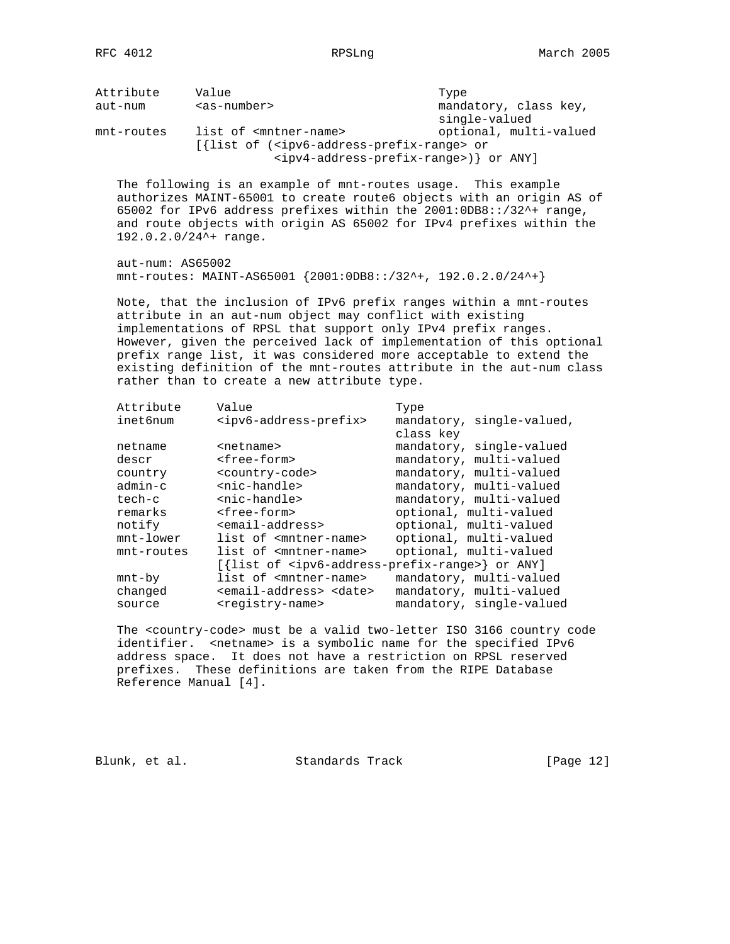| Attribute<br>aut-num                   | Value<br>$as-number$                                                                                                                                                      | Type<br>mandatory, class key,<br>single-valued                                                                                                                                                                                                                                           |
|----------------------------------------|---------------------------------------------------------------------------------------------------------------------------------------------------------------------------|------------------------------------------------------------------------------------------------------------------------------------------------------------------------------------------------------------------------------------------------------------------------------------------|
| mnt-routes                             | list of <mntner-name><br/>[{list of (<ipv6-address-prefix-range> or</ipv6-address-prefix-range></mntner-name>                                                             | optional, multi-valued<br><ipv4-address-prefix-range>) } or ANY]</ipv4-address-prefix-range>                                                                                                                                                                                             |
|                                        | The following is an example of mnt-routes usage. This example<br>192.0.2.0/24^+ range.                                                                                    | authorizes MAINT-65001 to create route6 objects with an origin AS of<br>65002 for IPv6 address prefixes within the 2001:0DB8::/32^+ range,<br>and route objects with origin AS 65002 for IPv4 prefixes within the                                                                        |
| $aut-num: AS65002$                     | mnt-routes: MAINT-AS65001 {2001:0DB8::/32^+, 192.0.2.0/24^+}                                                                                                              |                                                                                                                                                                                                                                                                                          |
|                                        | attribute in an aut-num object may conflict with existing<br>implementations of RPSL that support only IPv4 prefix ranges.<br>rather than to create a new attribute type. | Note, that the inclusion of IPv6 prefix ranges within a mnt-routes<br>However, given the perceived lack of implementation of this optional<br>prefix range list, it was considered more acceptable to extend the<br>existing definition of the mnt-routes attribute in the aut-num class |
| Attribute<br>inet6num                  | Value<br><ipv6-address-prefix></ipv6-address-prefix>                                                                                                                      | Type<br>mandatory, single-valued,<br>class key                                                                                                                                                                                                                                           |
| netname<br>descr<br>country<br>admin-c | <netname><br/><free-form><br/><country-code><br/><nic-handle></nic-handle></country-code></free-form></netname>                                                           | mandatory, single-valued<br>mandatory, multi-valued<br>mandatory, multi-valued<br>mandatory, multi-valued                                                                                                                                                                                |
| tech-c                                 | <nic-handle></nic-handle>                                                                                                                                                 | mandatory, multi-valued                                                                                                                                                                                                                                                                  |
| remarks                                | <free-form></free-form>                                                                                                                                                   | optional, multi-valued                                                                                                                                                                                                                                                                   |
| notify                                 | <email-address></email-address>                                                                                                                                           | optional, multi-valued                                                                                                                                                                                                                                                                   |
| mnt-lower                              | list of <mntner-name></mntner-name>                                                                                                                                       | optional, multi-valued                                                                                                                                                                                                                                                                   |
| mnt-routes                             | list of <mntner-name></mntner-name>                                                                                                                                       | optional, multi-valued                                                                                                                                                                                                                                                                   |
|                                        |                                                                                                                                                                           | [{list of <ipv6-address-prefix-range>} or ANY]</ipv6-address-prefix-range>                                                                                                                                                                                                               |
| $mnt-by$                               | list of <mntner-name></mntner-name>                                                                                                                                       | mandatory, multi-valued                                                                                                                                                                                                                                                                  |

 The <country-code> must be a valid two-letter ISO 3166 country code identifier. <netname> is a symbolic name for the specified IPv6 address space. It does not have a restriction on RPSL reserved prefixes. These definitions are taken from the RIPE Database Reference Manual [4].

 changed <email-address> <date> mandatory, multi-valued source <registry-name> mandatory, single-valued

Blunk, et al. Standards Track [Page 12]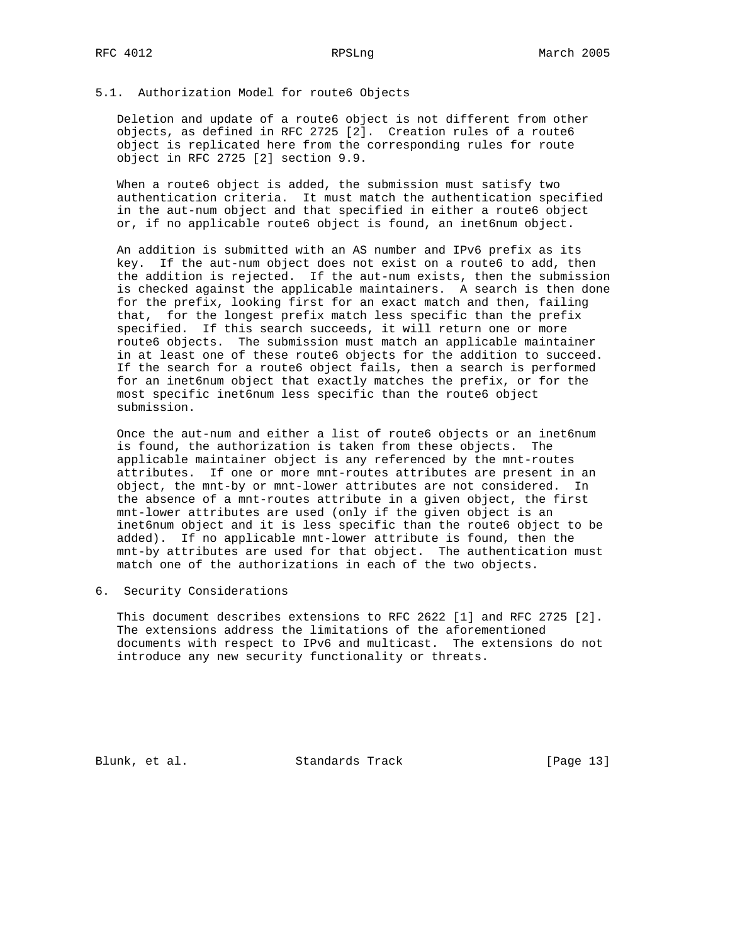## 5.1. Authorization Model for route6 Objects

 Deletion and update of a route6 object is not different from other objects, as defined in RFC 2725 [2]. Creation rules of a route6 object is replicated here from the corresponding rules for route object in RFC 2725 [2] section 9.9.

 When a route6 object is added, the submission must satisfy two authentication criteria. It must match the authentication specified in the aut-num object and that specified in either a route6 object or, if no applicable route6 object is found, an inet6num object.

 An addition is submitted with an AS number and IPv6 prefix as its key. If the aut-num object does not exist on a route6 to add, then the addition is rejected. If the aut-num exists, then the submission is checked against the applicable maintainers. A search is then done for the prefix, looking first for an exact match and then, failing that, for the longest prefix match less specific than the prefix specified. If this search succeeds, it will return one or more route6 objects. The submission must match an applicable maintainer in at least one of these route6 objects for the addition to succeed. If the search for a route6 object fails, then a search is performed for an inet6num object that exactly matches the prefix, or for the most specific inet6num less specific than the route6 object submission.

 Once the aut-num and either a list of route6 objects or an inet6num is found, the authorization is taken from these objects. The applicable maintainer object is any referenced by the mnt-routes attributes. If one or more mnt-routes attributes are present in an object, the mnt-by or mnt-lower attributes are not considered. In the absence of a mnt-routes attribute in a given object, the first mnt-lower attributes are used (only if the given object is an inet6num object and it is less specific than the route6 object to be added). If no applicable mnt-lower attribute is found, then the mnt-by attributes are used for that object. The authentication must match one of the authorizations in each of the two objects.

6. Security Considerations

 This document describes extensions to RFC 2622 [1] and RFC 2725 [2]. The extensions address the limitations of the aforementioned documents with respect to IPv6 and multicast. The extensions do not introduce any new security functionality or threats.

Blunk, et al. Standards Track [Page 13]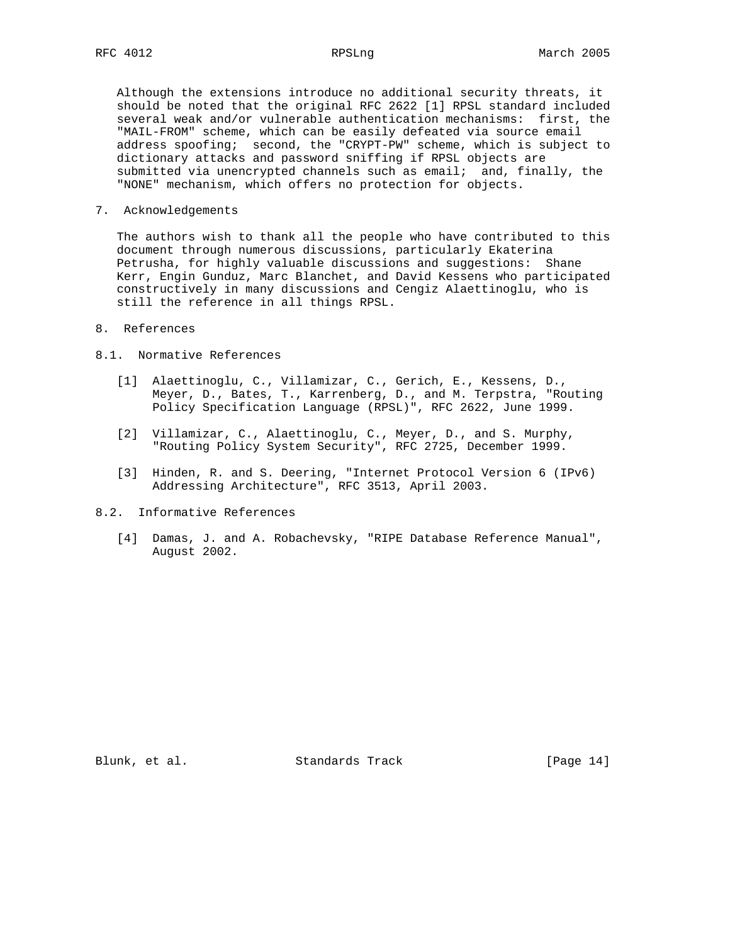Although the extensions introduce no additional security threats, it should be noted that the original RFC 2622 [1] RPSL standard included several weak and/or vulnerable authentication mechanisms: first, the "MAIL-FROM" scheme, which can be easily defeated via source email address spoofing; second, the "CRYPT-PW" scheme, which is subject to dictionary attacks and password sniffing if RPSL objects are submitted via unencrypted channels such as email; and, finally, the "NONE" mechanism, which offers no protection for objects.

7. Acknowledgements

 The authors wish to thank all the people who have contributed to this document through numerous discussions, particularly Ekaterina Petrusha, for highly valuable discussions and suggestions: Shane Kerr, Engin Gunduz, Marc Blanchet, and David Kessens who participated constructively in many discussions and Cengiz Alaettinoglu, who is still the reference in all things RPSL.

# 8. References

### 8.1. Normative References

- [1] Alaettinoglu, C., Villamizar, C., Gerich, E., Kessens, D., Meyer, D., Bates, T., Karrenberg, D., and M. Terpstra, "Routing Policy Specification Language (RPSL)", RFC 2622, June 1999.
- [2] Villamizar, C., Alaettinoglu, C., Meyer, D., and S. Murphy, "Routing Policy System Security", RFC 2725, December 1999.
- [3] Hinden, R. and S. Deering, "Internet Protocol Version 6 (IPv6) Addressing Architecture", RFC 3513, April 2003.
- 8.2. Informative References
	- [4] Damas, J. and A. Robachevsky, "RIPE Database Reference Manual", August 2002.

Blunk, et al. Standards Track [Page 14]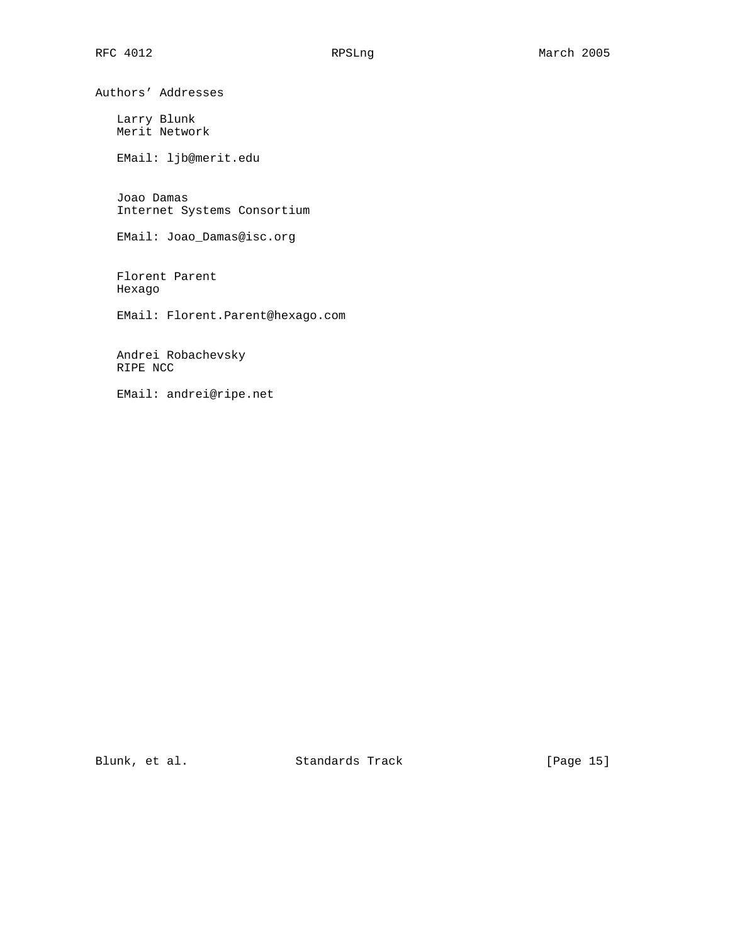Authors' Addresses

 Larry Blunk Merit Network

EMail: ljb@merit.edu

 Joao Damas Internet Systems Consortium

EMail: Joao\_Damas@isc.org

 Florent Parent Hexago

EMail: Florent.Parent@hexago.com

 Andrei Robachevsky RIPE NCC

EMail: andrei@ripe.net

Blunk, et al. Standards Track [Page 15]